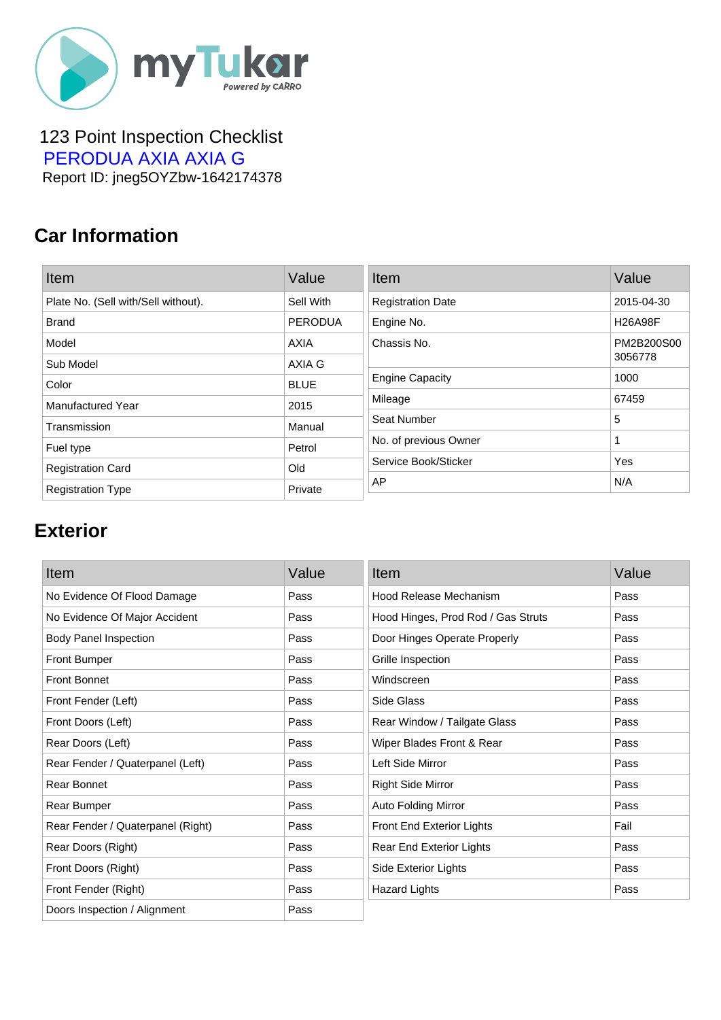

#### 123 Point Inspection Checklist  [PERODUA AXIA AXIA G](https://mytukar.com/q/G9O0JN) Report ID: jneg5OYZbw-1642174378

### **Car Information**

| Item                                | Value          | Item                     | Value          |
|-------------------------------------|----------------|--------------------------|----------------|
| Plate No. (Sell with/Sell without). | Sell With      | <b>Registration Date</b> | 2015-04-30     |
| <b>Brand</b>                        | <b>PERODUA</b> | Engine No.               | <b>H26A98F</b> |
| Model                               | <b>AXIA</b>    | Chassis No.              | PM2B200S00     |
| Sub Model                           | AXIA G         |                          | 3056778        |
| Color                               | <b>BLUE</b>    | <b>Engine Capacity</b>   | 1000           |
| <b>Manufactured Year</b>            | 2015           | Mileage                  | 67459          |
| Transmission                        | Manual         | Seat Number              | 5              |
| Fuel type                           | Petrol         | No. of previous Owner    |                |
| <b>Registration Card</b>            | Old            | Service Book/Sticker     | Yes            |
| <b>Registration Type</b>            | Private        | AP                       | N/A            |

# **Exterior**

| Item                              | Value | Item                               | Value |
|-----------------------------------|-------|------------------------------------|-------|
| No Evidence Of Flood Damage       | Pass  | Hood Release Mechanism             | Pass  |
| No Evidence Of Major Accident     | Pass  | Hood Hinges, Prod Rod / Gas Struts | Pass  |
| <b>Body Panel Inspection</b>      | Pass  | Door Hinges Operate Properly       | Pass  |
| <b>Front Bumper</b>               | Pass  | Grille Inspection                  | Pass  |
| <b>Front Bonnet</b>               | Pass  | Windscreen                         | Pass  |
| Front Fender (Left)               | Pass  | Side Glass                         | Pass  |
| Front Doors (Left)                | Pass  | Rear Window / Tailgate Glass       | Pass  |
| Rear Doors (Left)                 | Pass  | Wiper Blades Front & Rear          | Pass  |
| Rear Fender / Quaterpanel (Left)  | Pass  | Left Side Mirror                   | Pass  |
| Rear Bonnet                       | Pass  | <b>Right Side Mirror</b>           | Pass  |
| Rear Bumper                       | Pass  | Auto Folding Mirror                | Pass  |
| Rear Fender / Quaterpanel (Right) | Pass  | Front End Exterior Lights          | Fail  |
| Rear Doors (Right)                | Pass  | Rear End Exterior Lights           | Pass  |
| Front Doors (Right)               | Pass  | Side Exterior Lights               | Pass  |
| Front Fender (Right)              | Pass  | <b>Hazard Lights</b>               | Pass  |
| Doors Inspection / Alignment      | Pass  |                                    |       |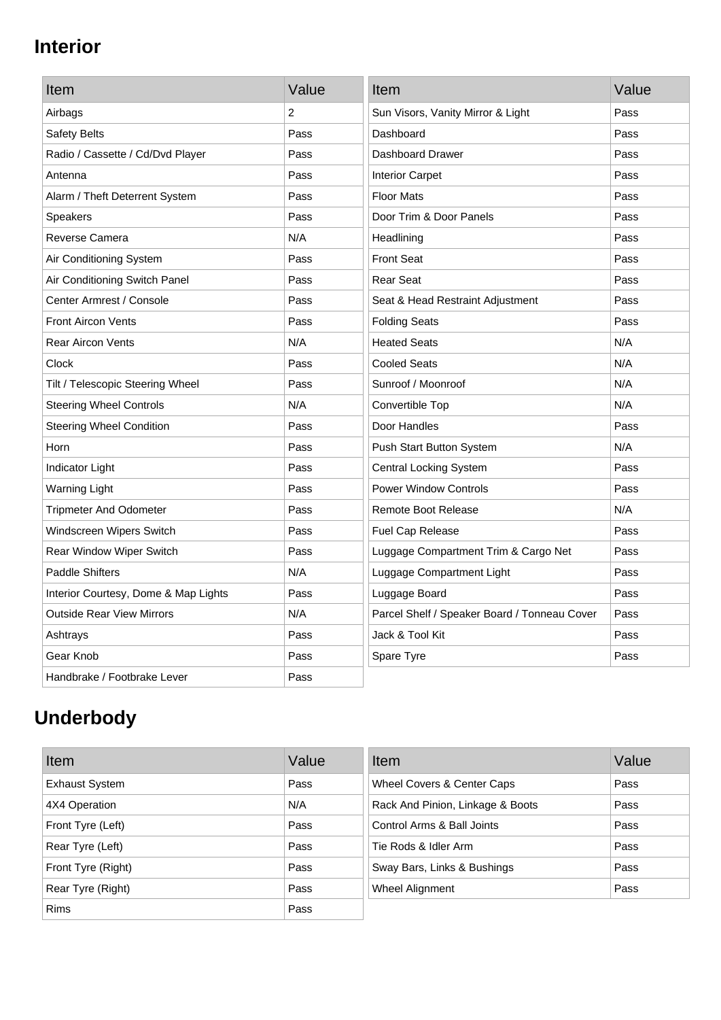# **Interior**

| Item                                 | Value | Item                                         | Value |
|--------------------------------------|-------|----------------------------------------------|-------|
| Airbags                              | 2     | Sun Visors, Vanity Mirror & Light            | Pass  |
| Safety Belts                         | Pass  | Dashboard                                    | Pass  |
| Radio / Cassette / Cd/Dvd Player     | Pass  | Dashboard Drawer                             | Pass  |
| Antenna                              | Pass  | <b>Interior Carpet</b>                       | Pass  |
| Alarm / Theft Deterrent System       | Pass  | <b>Floor Mats</b>                            | Pass  |
| <b>Speakers</b>                      | Pass  | Door Trim & Door Panels                      | Pass  |
| Reverse Camera                       | N/A   | Headlining                                   | Pass  |
| Air Conditioning System              | Pass  | <b>Front Seat</b>                            | Pass  |
| Air Conditioning Switch Panel        | Pass  | <b>Rear Seat</b>                             | Pass  |
| Center Armrest / Console             | Pass  | Seat & Head Restraint Adjustment             | Pass  |
| <b>Front Aircon Vents</b>            | Pass  | <b>Folding Seats</b>                         | Pass  |
| <b>Rear Aircon Vents</b>             | N/A   | <b>Heated Seats</b>                          | N/A   |
| Clock                                | Pass  | <b>Cooled Seats</b>                          | N/A   |
| Tilt / Telescopic Steering Wheel     | Pass  | Sunroof / Moonroof                           | N/A   |
| <b>Steering Wheel Controls</b>       | N/A   | Convertible Top                              | N/A   |
| <b>Steering Wheel Condition</b>      | Pass  | Door Handles                                 | Pass  |
| Horn                                 | Pass  | Push Start Button System                     | N/A   |
| Indicator Light                      | Pass  | <b>Central Locking System</b>                | Pass  |
| <b>Warning Light</b>                 | Pass  | <b>Power Window Controls</b>                 | Pass  |
| <b>Tripmeter And Odometer</b>        | Pass  | <b>Remote Boot Release</b>                   | N/A   |
| Windscreen Wipers Switch             | Pass  | Fuel Cap Release                             | Pass  |
| Rear Window Wiper Switch             | Pass  | Luggage Compartment Trim & Cargo Net         | Pass  |
| <b>Paddle Shifters</b>               | N/A   | Luggage Compartment Light                    | Pass  |
| Interior Courtesy, Dome & Map Lights | Pass  | Luggage Board                                | Pass  |
| <b>Outside Rear View Mirrors</b>     | N/A   | Parcel Shelf / Speaker Board / Tonneau Cover | Pass  |
| Ashtrays                             | Pass  | Jack & Tool Kit                              | Pass  |
| Gear Knob                            | Pass  | Spare Tyre                                   | Pass  |
| Handbrake / Footbrake Lever          | Pass  |                                              |       |

# **Underbody**

| Item                  | Value | Item                             | Value |
|-----------------------|-------|----------------------------------|-------|
| <b>Exhaust System</b> | Pass  | Wheel Covers & Center Caps       | Pass  |
| 4X4 Operation         | N/A   | Rack And Pinion, Linkage & Boots | Pass  |
| Front Tyre (Left)     | Pass  | Control Arms & Ball Joints       | Pass  |
| Rear Tyre (Left)      | Pass  | Tie Rods & Idler Arm             | Pass  |
| Front Tyre (Right)    | Pass  | Sway Bars, Links & Bushings      | Pass  |
| Rear Tyre (Right)     | Pass  | Wheel Alignment                  | Pass  |
| <b>Rims</b>           | Pass  |                                  |       |